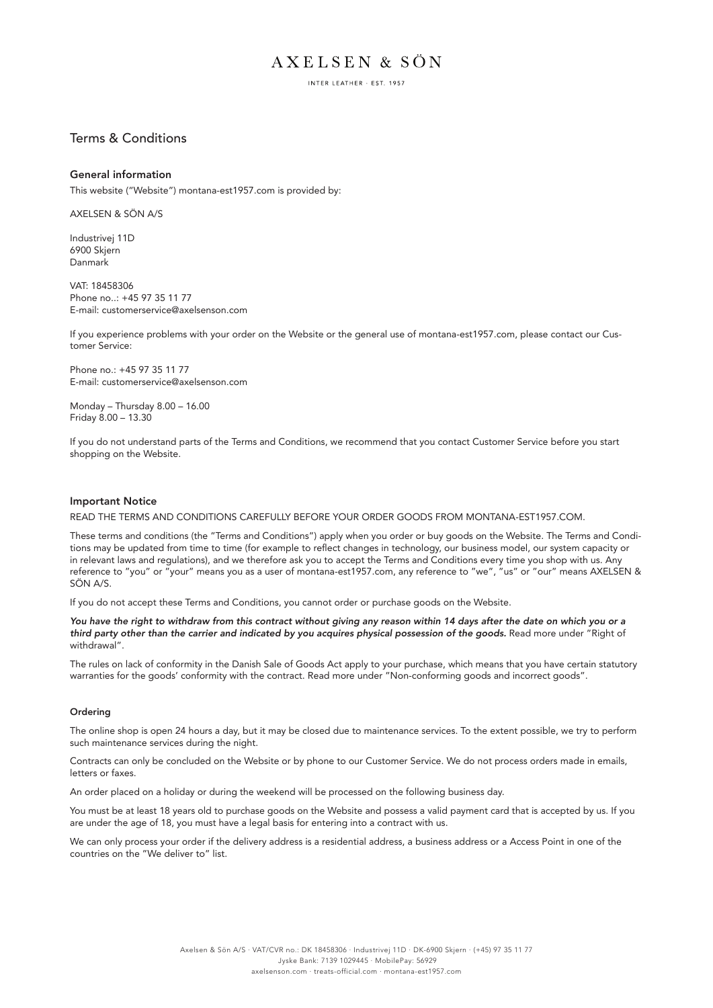INTER LEATHER - EST. 1957

# Terms & Conditions

## General information

This website ("Website") montana-est1957.com is provided by:

AXELSEN & SÖN A/S

Industrivej 11D 6900 Skjern Danmark

VAT: 18458306 Phone no..: +45 97 35 11 77 E-mail: customerservice@axelsenson.com

If you experience problems with your order on the Website or the general use of montana-est1957.com, please contact our Customer Service:

Phone no.: +45 97 35 11 77 E-mail: customerservice@axelsenson.com

Monday – Thursday 8.00 – 16.00 Friday 8.00 – 13.30

If you do not understand parts of the Terms and Conditions, we recommend that you contact Customer Service before you start shopping on the Website.

## Important Notice

READ THE TERMS AND CONDITIONS CAREFULLY BEFORE YOUR ORDER GOODS FROM MONTANA-EST1957.COM.

These terms and conditions (the "Terms and Conditions") apply when you order or buy goods on the Website. The Terms and Conditions may be updated from time to time (for example to reflect changes in technology, our business model, our system capacity or in relevant laws and regulations), and we therefore ask you to accept the Terms and Conditions every time you shop with us. Any reference to "you" or "your" means you as a user of montana-est1957.com, any reference to "we", "us" or "our" means AXELSEN & SÖN A/S.

If you do not accept these Terms and Conditions, you cannot order or purchase goods on the Website.

*You have the right to withdraw from this contract without giving any reason within 14 days after the date on which you or a third party other than the carrier and indicated by you acquires physical possession of the goods.* Read more under "Right of withdrawal".

The rules on lack of conformity in the Danish Sale of Goods Act apply to your purchase, which means that you have certain statutory warranties for the goods' conformity with the contract. Read more under "Non-conforming goods and incorrect goods".

## Ordering

The online shop is open 24 hours a day, but it may be closed due to maintenance services. To the extent possible, we try to perform such maintenance services during the night.

Contracts can only be concluded on the Website or by phone to our Customer Service. We do not process orders made in emails, letters or faxes.

An order placed on a holiday or during the weekend will be processed on the following business day.

You must be at least 18 years old to purchase goods on the Website and possess a valid payment card that is accepted by us. If you are under the age of 18, you must have a legal basis for entering into a contract with us.

We can only process your order if the delivery address is a residential address, a business address or a Access Point in one of the countries on the "We deliver to" list.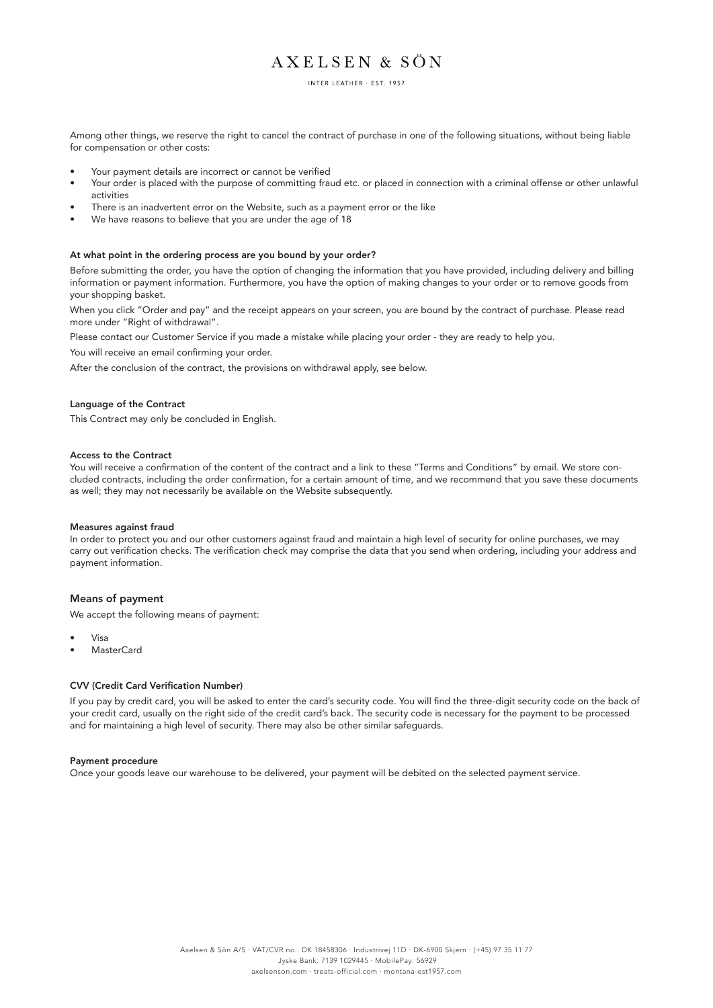INTER LEATHER - EST. 1957

Among other things, we reserve the right to cancel the contract of purchase in one of the following situations, without being liable for compensation or other costs:

- Your payment details are incorrect or cannot be verified
- Your order is placed with the purpose of committing fraud etc. or placed in connection with a criminal offense or other unlawful activities
- There is an inadvertent error on the Website, such as a payment error or the like
- We have reasons to believe that you are under the age of 18

### At what point in the ordering process are you bound by your order?

Before submitting the order, you have the option of changing the information that you have provided, including delivery and billing information or payment information. Furthermore, you have the option of making changes to your order or to remove goods from your shopping basket.

When you click "Order and pay" and the receipt appears on your screen, you are bound by the contract of purchase. Please read more under "Right of withdrawal".

Please contact our Customer Service if you made a mistake while placing your order - they are ready to help you.

You will receive an email confirming your order.

After the conclusion of the contract, the provisions on withdrawal apply, see below.

## Language of the Contract

This Contract may only be concluded in English.

### Access to the Contract

You will receive a confirmation of the content of the contract and a link to these "Terms and Conditions" by email. We store concluded contracts, including the order confirmation, for a certain amount of time, and we recommend that you save these documents as well; they may not necessarily be available on the Website subsequently.

#### Measures against fraud

In order to protect you and our other customers against fraud and maintain a high level of security for online purchases, we may carry out verification checks. The verification check may comprise the data that you send when ordering, including your address and payment information.

# Means of payment

We accept the following means of payment:

- Visa
- MasterCard

### CVV (Credit Card Verification Number)

If you pay by credit card, you will be asked to enter the card's security code. You will find the three-digit security code on the back of your credit card, usually on the right side of the credit card's back. The security code is necessary for the payment to be processed and for maintaining a high level of security. There may also be other similar safeguards.

### Payment procedure

Once your goods leave our warehouse to be delivered, your payment will be debited on the selected payment service.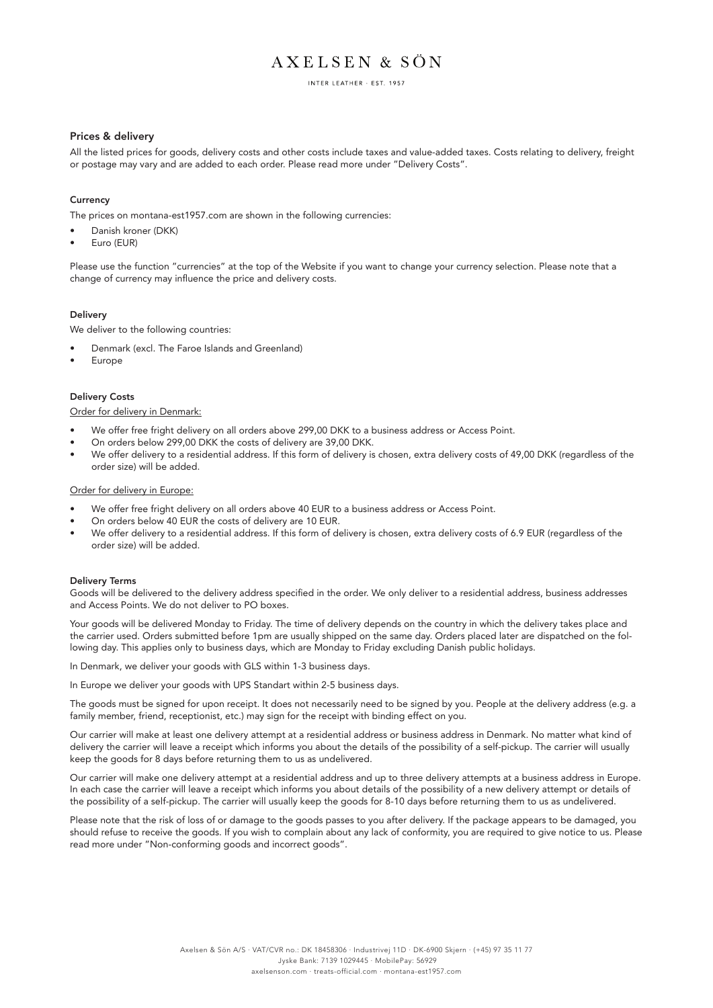INTER LEATHER - EST. 1957

# Prices & delivery

All the listed prices for goods, delivery costs and other costs include taxes and value-added taxes. Costs relating to delivery, freight or postage may vary and are added to each order. Please read more under "Delivery Costs".

## **Currency**

The prices on montana-est1957.com are shown in the following currencies:

- Danish kroner (DKK)
- Euro (EUR)

Please use the function "currencies" at the top of the Website if you want to change your currency selection. Please note that a change of currency may influence the price and delivery costs.

## Delivery

We deliver to the following countries:

- Denmark (excl. The Faroe Islands and Greenland)
- **Europe**

# Delivery Costs

Order for delivery in Denmark:

- We offer free fright delivery on all orders above 299,00 DKK to a business address or Access Point.
- On orders below 299,00 DKK the costs of delivery are 39,00 DKK.
- We offer delivery to a residential address. If this form of delivery is chosen, extra delivery costs of 49,00 DKK (regardless of the order size) will be added.

### Order for delivery in Europe:

- We offer free fright delivery on all orders above 40 EUR to a business address or Access Point.
- On orders below 40 EUR the costs of delivery are 10 EUR.
- We offer delivery to a residential address. If this form of delivery is chosen, extra delivery costs of 6.9 EUR (regardless of the order size) will be added.

### Delivery Terms

Goods will be delivered to the delivery address specified in the order. We only deliver to a residential address, business addresses and Access Points. We do not deliver to PO boxes.

Your goods will be delivered Monday to Friday. The time of delivery depends on the country in which the delivery takes place and the carrier used. Orders submitted before 1pm are usually shipped on the same day. Orders placed later are dispatched on the following day. This applies only to business days, which are Monday to Friday excluding Danish public holidays.

In Denmark, we deliver your goods with GLS within 1-3 business days.

In Europe we deliver your goods with UPS Standart within 2-5 business days.

The goods must be signed for upon receipt. It does not necessarily need to be signed by you. People at the delivery address (e.g. a family member, friend, receptionist, etc.) may sign for the receipt with binding effect on you.

Our carrier will make at least one delivery attempt at a residential address or business address in Denmark. No matter what kind of delivery the carrier will leave a receipt which informs you about the details of the possibility of a self-pickup. The carrier will usually keep the goods for 8 days before returning them to us as undelivered.

Our carrier will make one delivery attempt at a residential address and up to three delivery attempts at a business address in Europe. In each case the carrier will leave a receipt which informs you about details of the possibility of a new delivery attempt or details of the possibility of a self-pickup. The carrier will usually keep the goods for 8-10 days before returning them to us as undelivered.

Please note that the risk of loss of or damage to the goods passes to you after delivery. If the package appears to be damaged, you should refuse to receive the goods. If you wish to complain about any lack of conformity, you are required to give notice to us. Please read more under "Non-conforming goods and incorrect goods".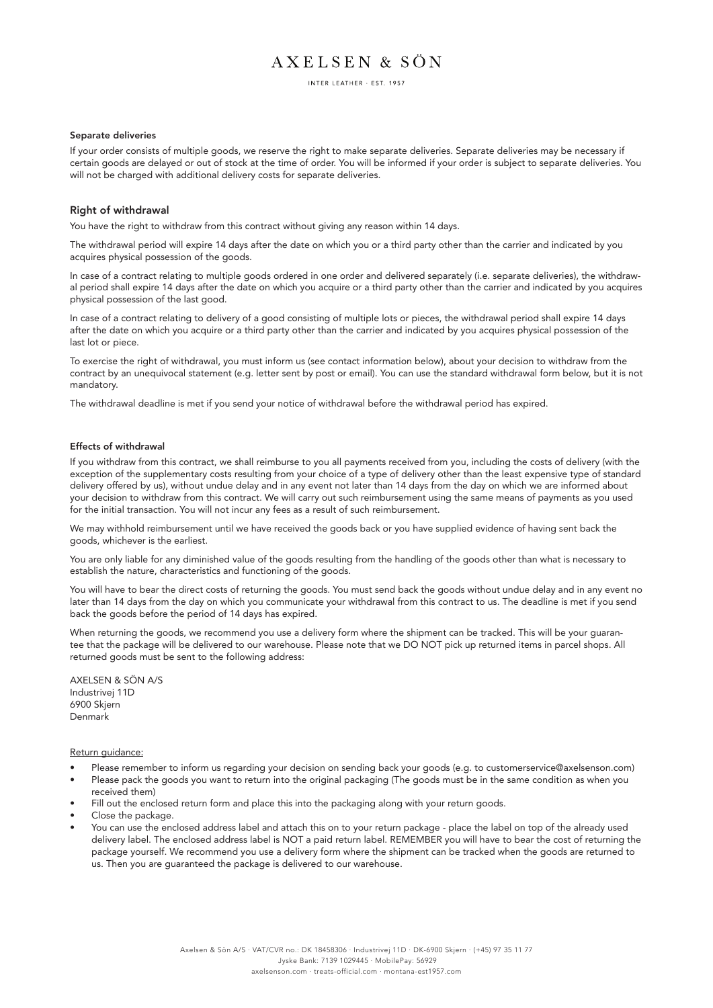INTER LEATHER - EST 1957

## Separate deliveries

If your order consists of multiple goods, we reserve the right to make separate deliveries. Separate deliveries may be necessary if certain goods are delayed or out of stock at the time of order. You will be informed if your order is subject to separate deliveries. You will not be charged with additional delivery costs for separate deliveries.

### Right of withdrawal

You have the right to withdraw from this contract without giving any reason within 14 days.

The withdrawal period will expire 14 days after the date on which you or a third party other than the carrier and indicated by you acquires physical possession of the goods.

In case of a contract relating to multiple goods ordered in one order and delivered separately (i.e. separate deliveries), the withdrawal period shall expire 14 days after the date on which you acquire or a third party other than the carrier and indicated by you acquires physical possession of the last good.

In case of a contract relating to delivery of a good consisting of multiple lots or pieces, the withdrawal period shall expire 14 days after the date on which you acquire or a third party other than the carrier and indicated by you acquires physical possession of the last lot or piece.

To exercise the right of withdrawal, you must inform us (see contact information below), about your decision to withdraw from the contract by an unequivocal statement (e.g. letter sent by post or email). You can use the standard withdrawal form below, but it is not mandatory.

The withdrawal deadline is met if you send your notice of withdrawal before the withdrawal period has expired.

#### Effects of withdrawal

If you withdraw from this contract, we shall reimburse to you all payments received from you, including the costs of delivery (with the exception of the supplementary costs resulting from your choice of a type of delivery other than the least expensive type of standard delivery offered by us), without undue delay and in any event not later than 14 days from the day on which we are informed about your decision to withdraw from this contract. We will carry out such reimbursement using the same means of payments as you used for the initial transaction. You will not incur any fees as a result of such reimbursement.

We may withhold reimbursement until we have received the goods back or you have supplied evidence of having sent back the goods, whichever is the earliest.

You are only liable for any diminished value of the goods resulting from the handling of the goods other than what is necessary to establish the nature, characteristics and functioning of the goods.

You will have to bear the direct costs of returning the goods. You must send back the goods without undue delay and in any event no later than 14 days from the day on which you communicate your withdrawal from this contract to us. The deadline is met if you send back the goods before the period of 14 days has expired.

When returning the goods, we recommend you use a delivery form where the shipment can be tracked. This will be your guarantee that the package will be delivered to our warehouse. Please note that we DO NOT pick up returned items in parcel shops. All returned goods must be sent to the following address:

AXELSEN & SÖN A/S Industrivej 11D 6900 Skjern Denmark

Return guidance:

- Please remember to inform us regarding your decision on sending back your goods (e.g. to customerservice@axelsenson.com)
- Please pack the goods you want to return into the original packaging (The goods must be in the same condition as when you received them)
- Fill out the enclosed return form and place this into the packaging along with your return goods.
- Close the package.
- You can use the enclosed address label and attach this on to your return package place the label on top of the already used delivery label. The enclosed address label is NOT a paid return label. REMEMBER you will have to bear the cost of returning the package yourself. We recommend you use a delivery form where the shipment can be tracked when the goods are returned to us. Then you are guaranteed the package is delivered to our warehouse.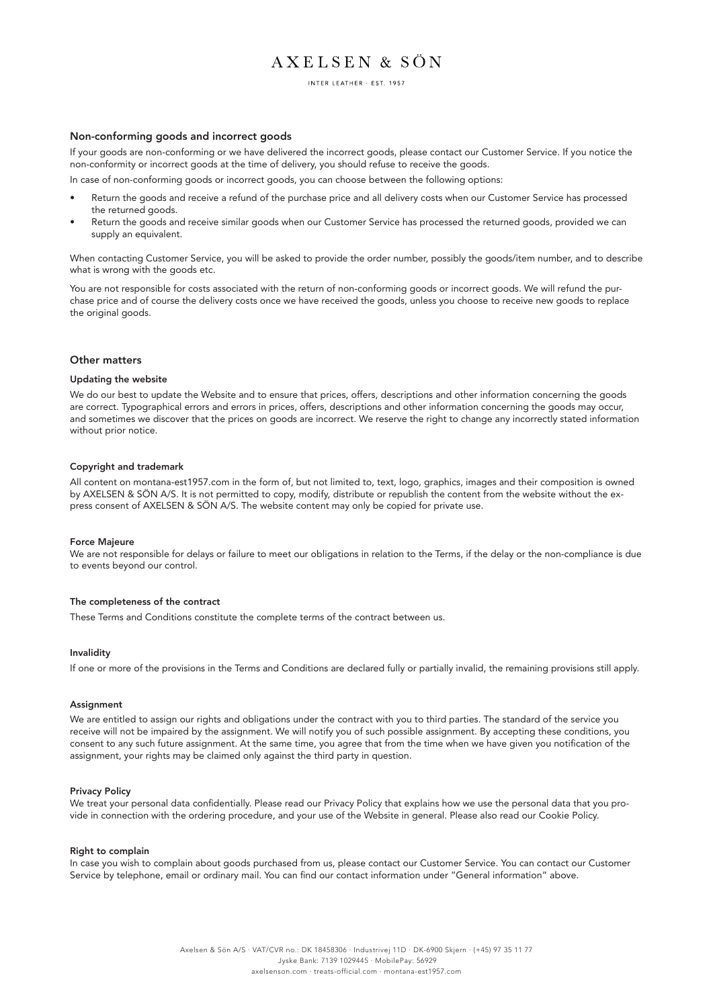INTER LEATHER - EST. 1957

### Non-conforming goods and incorrect goods

If your goods are non-conforming or we have delivered the incorrect goods, please contact our Customer Service. If you notice the non-conformity or incorrect goods at the time of delivery, you should refuse to receive the goods.

In case of non-conforming goods or incorrect goods, you can choose between the following options:

- Return the goods and receive a refund of the purchase price and all delivery costs when our Customer Service has processed the returned goods.
- Return the goods and receive similar goods when our Customer Service has processed the returned goods, provided we can supply an equivalent.

When contacting Customer Service, you will be asked to provide the order number, possibly the goods/item number, and to describe what is wrong with the goods etc.

You are not responsible for costs associated with the return of non-conforming goods or incorrect goods. We will refund the purchase price and of course the delivery costs once we have received the goods, unless you choose to receive new goods to replace the original goods.

### Other matters

#### Updating the website

We do our best to update the Website and to ensure that prices, offers, descriptions and other information concerning the goods are correct. Typographical errors and errors in prices, offers, descriptions and other information concerning the goods may occur, and sometimes we discover that the prices on goods are incorrect. We reserve the right to change any incorrectly stated information without prior notice.

### Copyright and trademark

All content on montana-est1957.com in the form of, but not limited to, text, logo, graphics, images and their composition is owned by AXELSEN & SÖN A/S. It is not permitted to copy, modify, distribute or republish the content from the website without the express consent of AXELSEN & SÖN A/S. The website content may only be copied for private use.

### Force Majeure

We are not responsible for delays or failure to meet our obligations in relation to the Terms, if the delay or the non-compliance is due to events beyond our control.

### The completeness of the contract

These Terms and Conditions constitute the complete terms of the contract between us.

### Invalidity

If one or more of the provisions in the Terms and Conditions are declared fully or partially invalid, the remaining provisions still apply.

#### Assignment

We are entitled to assign our rights and obligations under the contract with you to third parties. The standard of the service you receive will not be impaired by the assignment. We will notify you of such possible assignment. By accepting these conditions, you consent to any such future assignment. At the same time, you agree that from the time when we have given you notification of the assignment, your rights may be claimed only against the third party in question.

#### Privacy Policy

We treat your personal data confidentially. Please read our Privacy Policy that explains how we use the personal data that you provide in connection with the ordering procedure, and your use of the Website in general. Please also read our Cookie Policy.

### Right to complain

In case you wish to complain about goods purchased from us, please contact our Customer Service. You can contact our Customer Service by telephone, email or ordinary mail. You can find our contact information under "General information" above.